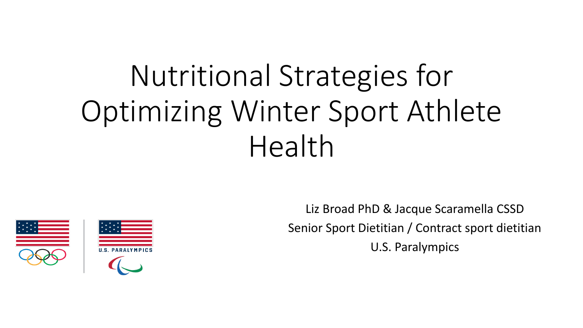# Nutritional Strategies for Optimizing Winter Sport Athlete Health



Liz Broad PhD & Jacque Scaramella CSSD Senior Sport Dietitian / Contract sport dietitian U.S. Paralympics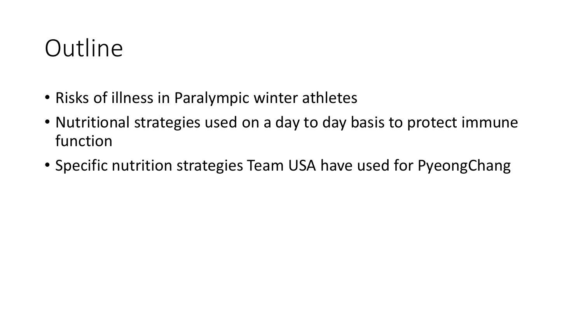#### **Outline**

- Risks of illness in Paralympic winter athletes
- Nutritional strategies used on a day to day basis to protect immune function
- Specific nutrition strategies Team USA have used for PyeongChang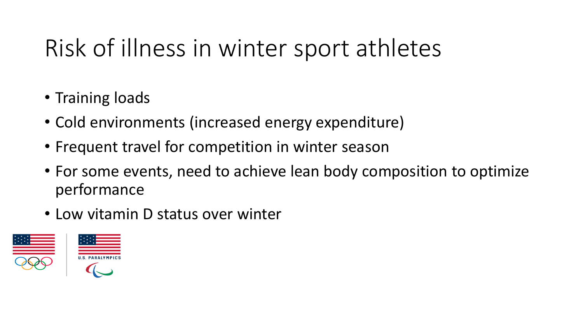# Risk of illness in winter sport athletes

- Training loads
- Cold environments (increased energy expenditure)
- Frequent travel for competition in winter season
- For some events, need to achieve lean body composition to optimize performance
- Low vitamin D status over winter

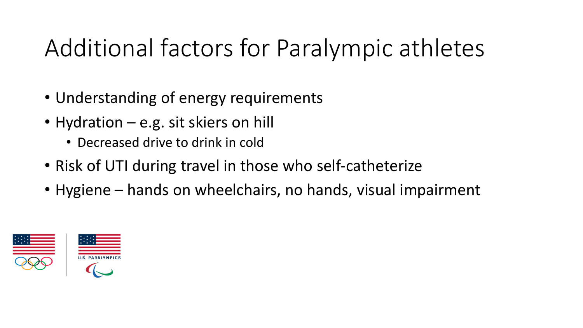## Additional factors for Paralympic athletes

- Understanding of energy requirements
- Hydration e.g. sit skiers on hill
	- Decreased drive to drink in cold
- Risk of UTI during travel in those who self-catheterize
- Hygiene hands on wheelchairs, no hands, visual impairment

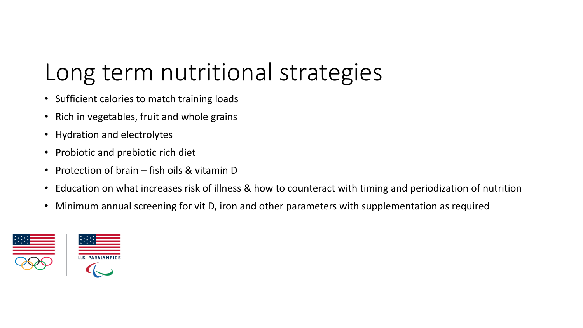### Long term nutritional strategies

- Sufficient calories to match training loads
- Rich in vegetables, fruit and whole grains
- Hydration and electrolytes
- Probiotic and prebiotic rich diet
- Protection of brain fish oils & vitamin D
- Education on what increases risk of illness & how to counteract with timing and periodization of nutrition
- Minimum annual screening for vit D, iron and other parameters with supplementation as required

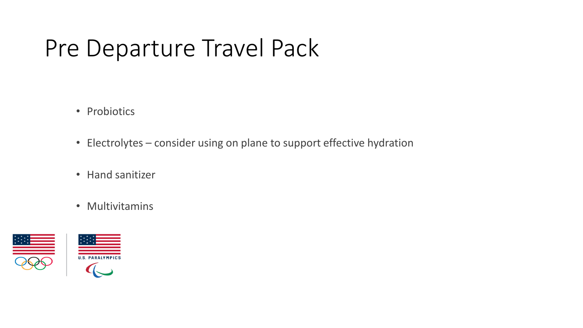#### Pre Departure Travel Pack

- Probiotics
- Electrolytes consider using on plane to support effective hydration
- Hand sanitizer
- Multivitamins

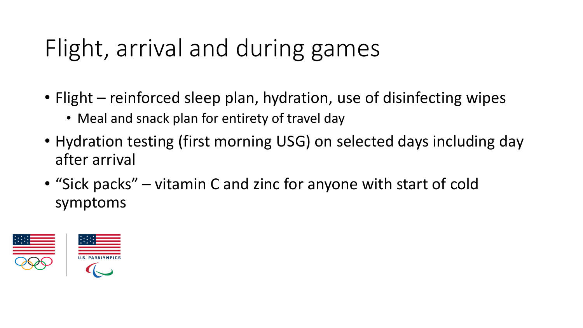# Flight, arrival and during games

- Flight reinforced sleep plan, hydration, use of disinfecting wipes
	- Meal and snack plan for entirety of travel day
- Hydration testing (first morning USG) on selected days including day after arrival
- "Sick packs" vitamin C and zinc for anyone with start of cold symptoms